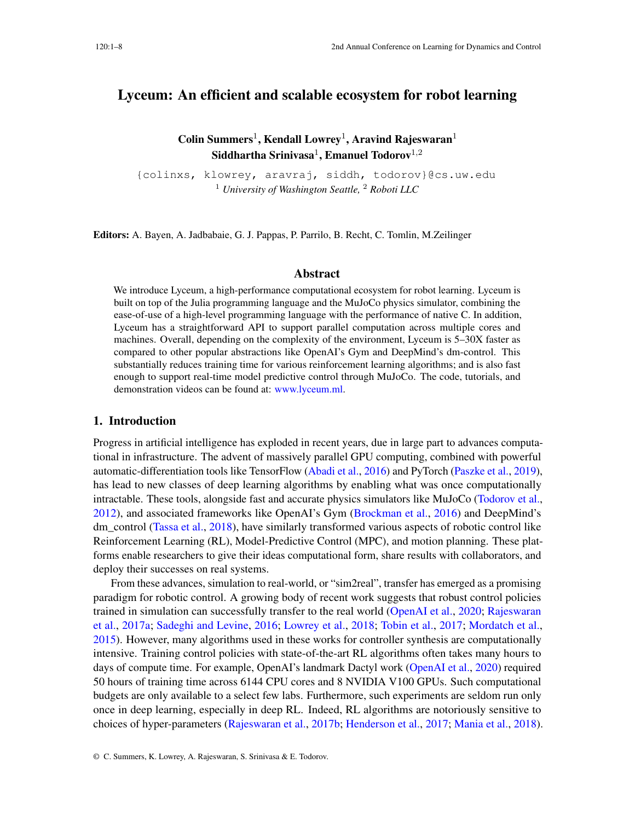# Lyceum: An efficient and scalable ecosystem for robot learning

Colin Summers<sup>1</sup>, Kendall Lowrey<sup>1</sup>, Aravind Rajeswaran<sup>1</sup>  $\mathbf S$ iddhartha Srinivasa $^1, \mathbf E$ manuel Todorov $^{1,2}$ 

{colinxs, klowrey, aravraj, siddh, todorov}@cs.uw.edu <sup>1</sup> *University of Washington Seattle,* <sup>2</sup> *Roboti LLC*

Editors: A. Bayen, A. Jadbabaie, G. J. Pappas, P. Parrilo, B. Recht, C. Tomlin, M.Zeilinger

### Abstract

We introduce Lyceum, a high-performance computational ecosystem for robot learning. Lyceum is built on top of the Julia programming language and the MuJoCo physics simulator, combining the ease-of-use of a high-level programming language with the performance of native C. In addition, Lyceum has a straightforward API to support parallel computation across multiple cores and machines. Overall, depending on the complexity of the environment, Lyceum is 5–30X faster as compared to other popular abstractions like OpenAI's Gym and DeepMind's dm-control. This substantially reduces training time for various reinforcement learning algorithms; and is also fast enough to support real-time model predictive control through MuJoCo. The code, tutorials, and demonstration videos can be found at: [www.lyceum.ml.](www.lyceum.ml)

### 1. Introduction

Progress in artificial intelligence has exploded in recent years, due in large part to advances computational in infrastructure. The advent of massively parallel GPU computing, combined with powerful automatic-differentiation tools like TensorFlow [\(Abadi et al.,](#page-8-0) [2016\)](#page-8-0) and PyTorch [\(Paszke et al.,](#page-9-0) [2019\)](#page-9-0), has lead to new classes of deep learning algorithms by enabling what was once computationally intractable. These tools, alongside fast and accurate physics simulators like MuJoCo [\(Todorov et al.,](#page-10-0) [2012\)](#page-10-0), and associated frameworks like OpenAI's Gym [\(Brockman et al.,](#page-8-1) [2016\)](#page-8-1) and DeepMind's dm control [\(Tassa et al.,](#page-10-1)  $2018$ ), have similarly transformed various aspects of robotic control like Reinforcement Learning (RL), Model-Predictive Control (MPC), and motion planning. These platforms enable researchers to give their ideas computational form, share results with collaborators, and deploy their successes on real systems.

From these advances, simulation to real-world, or "sim2real", transfer has emerged as a promising paradigm for robotic control. A growing body of recent work suggests that robust control policies trained in simulation can successfully transfer to the real world [\(OpenAI et al.,](#page-9-1) [2020;](#page-9-1) [Rajeswaran](#page-10-2) [et al.,](#page-10-2) [2017a;](#page-10-2) [Sadeghi and Levine,](#page-10-3) [2016;](#page-10-3) [Lowrey et al.,](#page-9-2) [2018;](#page-9-2) [Tobin et al.,](#page-10-4) [2017;](#page-10-4) [Mordatch et al.,](#page-9-3) [2015\)](#page-9-3). However, many algorithms used in these works for controller synthesis are computationally intensive. Training control policies with state-of-the-art RL algorithms often takes many hours to days of compute time. For example, OpenAI's landmark Dactyl work [\(OpenAI et al.,](#page-9-1) [2020\)](#page-9-1) required 50 hours of training time across 6144 CPU cores and 8 NVIDIA V100 GPUs. Such computational budgets are only available to a select few labs. Furthermore, such experiments are seldom run only once in deep learning, especially in deep RL. Indeed, RL algorithms are notoriously sensitive to choices of hyper-parameters [\(Rajeswaran et al.,](#page-10-5) [2017b;](#page-10-5) [Henderson et al.,](#page-8-2) [2017;](#page-8-2) [Mania et al.,](#page-9-4) [2018\)](#page-9-4).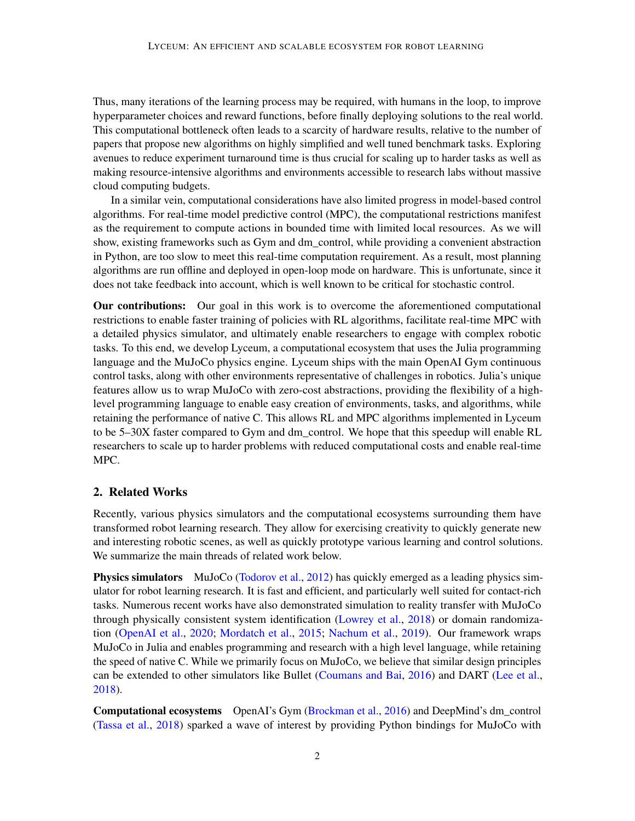Thus, many iterations of the learning process may be required, with humans in the loop, to improve hyperparameter choices and reward functions, before finally deploying solutions to the real world. This computational bottleneck often leads to a scarcity of hardware results, relative to the number of papers that propose new algorithms on highly simplified and well tuned benchmark tasks. Exploring avenues to reduce experiment turnaround time is thus crucial for scaling up to harder tasks as well as making resource-intensive algorithms and environments accessible to research labs without massive cloud computing budgets.

In a similar vein, computational considerations have also limited progress in model-based control algorithms. For real-time model predictive control (MPC), the computational restrictions manifest as the requirement to compute actions in bounded time with limited local resources. As we will show, existing frameworks such as Gym and dm\_control, while providing a convenient abstraction in Python, are too slow to meet this real-time computation requirement. As a result, most planning algorithms are run offline and deployed in open-loop mode on hardware. This is unfortunate, since it does not take feedback into account, which is well known to be critical for stochastic control.

Our contributions: Our goal in this work is to overcome the aforementioned computational restrictions to enable faster training of policies with RL algorithms, facilitate real-time MPC with a detailed physics simulator, and ultimately enable researchers to engage with complex robotic tasks. To this end, we develop Lyceum, a computational ecosystem that uses the Julia programming language and the MuJoCo physics engine. Lyceum ships with the main OpenAI Gym continuous control tasks, along with other environments representative of challenges in robotics. Julia's unique features allow us to wrap MuJoCo with zero-cost abstractions, providing the flexibility of a highlevel programming language to enable easy creation of environments, tasks, and algorithms, while retaining the performance of native C. This allows RL and MPC algorithms implemented in Lyceum to be 5–30X faster compared to Gym and dm\_control. We hope that this speedup will enable RL researchers to scale up to harder problems with reduced computational costs and enable real-time MPC.

# 2. Related Works

Recently, various physics simulators and the computational ecosystems surrounding them have transformed robot learning research. They allow for exercising creativity to quickly generate new and interesting robotic scenes, as well as quickly prototype various learning and control solutions. We summarize the main threads of related work below.

Physics simulators MuJoCo [\(Todorov et al.,](#page-10-0) [2012\)](#page-10-0) has quickly emerged as a leading physics simulator for robot learning research. It is fast and efficient, and particularly well suited for contact-rich tasks. Numerous recent works have also demonstrated simulation to reality transfer with MuJoCo through physically consistent system identification [\(Lowrey et al.,](#page-9-2) [2018\)](#page-9-2) or domain randomization [\(OpenAI et al.,](#page-9-1) [2020;](#page-9-1) [Mordatch et al.,](#page-9-3) [2015;](#page-9-3) [Nachum et al.,](#page-9-5) [2019\)](#page-9-5). Our framework wraps MuJoCo in Julia and enables programming and research with a high level language, while retaining the speed of native C. While we primarily focus on MuJoCo, we believe that similar design principles can be extended to other simulators like Bullet [\(Coumans and Bai,](#page-8-3) [2016\)](#page-8-3) and DART [\(Lee et al.,](#page-9-6) [2018\)](#page-9-6).

Computational ecosystems OpenAI's Gym [\(Brockman et al.,](#page-8-1) [2016\)](#page-8-1) and DeepMind's dm\_control [\(Tassa et al.,](#page-10-1) [2018\)](#page-10-1) sparked a wave of interest by providing Python bindings for MuJoCo with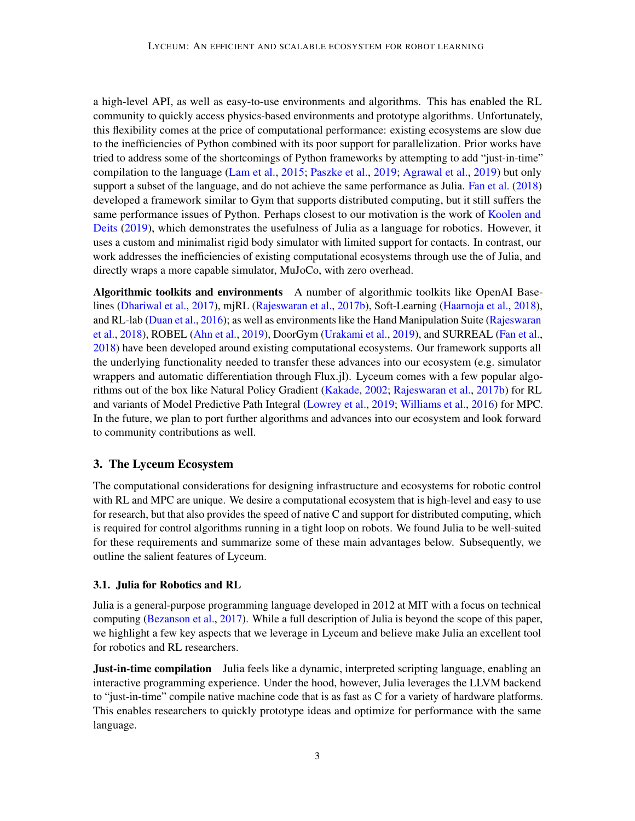a high-level API, as well as easy-to-use environments and algorithms. This has enabled the RL community to quickly access physics-based environments and prototype algorithms. Unfortunately, this flexibility comes at the price of computational performance: existing ecosystems are slow due to the inefficiencies of Python combined with its poor support for parallelization. Prior works have tried to address some of the shortcomings of Python frameworks by attempting to add "just-in-time" compilation to the language [\(Lam et al.,](#page-9-7) [2015;](#page-9-7) [Paszke et al.,](#page-9-0) [2019;](#page-9-0) [Agrawal et al.,](#page-8-4) [2019\)](#page-8-4) but only support a subset of the language, and do not achieve the same performance as Julia. [Fan et al.](#page-8-5) [\(2018\)](#page-8-5) developed a framework similar to Gym that supports distributed computing, but it still suffers the same performance issues of Python. Perhaps closest to our motivation is the work of [Koolen and](#page-9-8) [Deits](#page-9-8) [\(2019\)](#page-9-8), which demonstrates the usefulness of Julia as a language for robotics. However, it uses a custom and minimalist rigid body simulator with limited support for contacts. In contrast, our work addresses the inefficiencies of existing computational ecosystems through use the of Julia, and directly wraps a more capable simulator, MuJoCo, with zero overhead.

Algorithmic toolkits and environments A number of algorithmic toolkits like OpenAI Baselines [\(Dhariwal et al.,](#page-8-6) [2017\)](#page-8-6), mjRL [\(Rajeswaran et al.,](#page-10-5) [2017b\)](#page-10-5), Soft-Learning [\(Haarnoja et al.,](#page-8-7) [2018\)](#page-8-7), and RL-lab [\(Duan et al.,](#page-8-8) [2016\)](#page-8-8); as well as environments like the Hand Manipulation Suite [\(Rajeswaran](#page-10-6) [et al.,](#page-10-6) [2018\)](#page-10-6), ROBEL [\(Ahn et al.,](#page-8-9) [2019\)](#page-8-9), DoorGym [\(Urakami et al.,](#page-10-7) [2019\)](#page-10-7), and SURREAL [\(Fan et al.,](#page-8-5) [2018\)](#page-8-5) have been developed around existing computational ecosystems. Our framework supports all the underlying functionality needed to transfer these advances into our ecosystem (e.g. simulator wrappers and automatic differentiation through Flux.jl). Lyceum comes with a few popular algorithms out of the box like Natural Policy Gradient [\(Kakade,](#page-9-9) [2002;](#page-9-9) [Rajeswaran et al.,](#page-10-5) [2017b\)](#page-10-5) for RL and variants of Model Predictive Path Integral [\(Lowrey et al.,](#page-9-10) [2019;](#page-9-10) [Williams et al.,](#page-10-8) [2016\)](#page-10-8) for MPC. In the future, we plan to port further algorithms and advances into our ecosystem and look forward to community contributions as well.

### 3. The Lyceum Ecosystem

The computational considerations for designing infrastructure and ecosystems for robotic control with RL and MPC are unique. We desire a computational ecosystem that is high-level and easy to use for research, but that also provides the speed of native C and support for distributed computing, which is required for control algorithms running in a tight loop on robots. We found Julia to be well-suited for these requirements and summarize some of these main advantages below. Subsequently, we outline the salient features of Lyceum.

#### 3.1. Julia for Robotics and RL

Julia is a general-purpose programming language developed in 2012 at MIT with a focus on technical computing [\(Bezanson et al.,](#page-8-10) [2017\)](#page-8-10). While a full description of Julia is beyond the scope of this paper, we highlight a few key aspects that we leverage in Lyceum and believe make Julia an excellent tool for robotics and RL researchers.

**Just-in-time compilation** Julia feels like a dynamic, interpreted scripting language, enabling an interactive programming experience. Under the hood, however, Julia leverages the LLVM backend to "just-in-time" compile native machine code that is as fast as C for a variety of hardware platforms. This enables researchers to quickly prototype ideas and optimize for performance with the same language.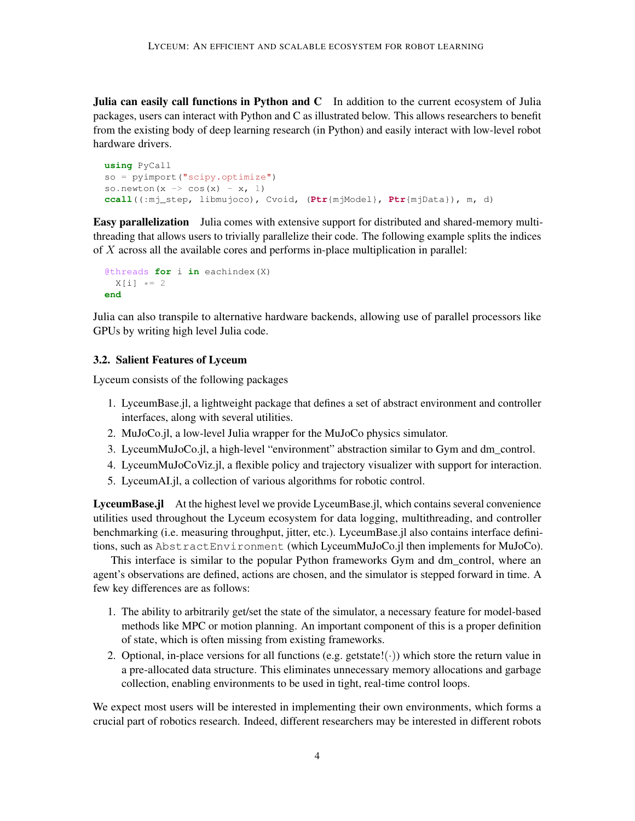Julia can easily call functions in Python and C In addition to the current ecosystem of Julia packages, users can interact with Python and C as illustrated below. This allows researchers to benefit from the existing body of deep learning research (in Python) and easily interact with low-level robot hardware drivers.

```
using PyCall
so = pyimport("scipy.optimize")
so.newton(x \rightarrow \cos(x) - x, 1)
ccall((:mj_step, libmujoco), Cvoid, (Ptr{mjModel}, Ptr{mjData}), m, d)
```
Easy parallelization Julia comes with extensive support for distributed and shared-memory multithreading that allows users to trivially parallelize their code. The following example splits the indices of  $X$  across all the available cores and performs in-place multiplication in parallel:

```
@threads for i in eachindex(X)
  X[i] \star= 2
end
```
Julia can also transpile to alternative hardware backends, allowing use of parallel processors like GPUs by writing high level Julia code.

#### 3.2. Salient Features of Lyceum

Lyceum consists of the following packages

- 1. LyceumBase.jl, a lightweight package that defines a set of abstract environment and controller interfaces, along with several utilities.
- 2. MuJoCo.jl, a low-level Julia wrapper for the MuJoCo physics simulator.
- 3. LyceumMuJoCo.jl, a high-level "environment" abstraction similar to Gym and dm\_control.
- 4. LyceumMuJoCoViz.jl, a flexible policy and trajectory visualizer with support for interaction.
- 5. LyceumAI.jl, a collection of various algorithms for robotic control.

LyceumBase.jl At the highest level we provide LyceumBase.jl, which contains several convenience utilities used throughout the Lyceum ecosystem for data logging, multithreading, and controller benchmarking (i.e. measuring throughput, jitter, etc.). LyceumBase.jl also contains interface definitions, such as AbstractEnvironment (which LyceumMuJoCo.jl then implements for MuJoCo).

This interface is similar to the popular Python frameworks Gym and dm\_control, where an agent's observations are defined, actions are chosen, and the simulator is stepped forward in time. A few key differences are as follows:

- 1. The ability to arbitrarily get/set the state of the simulator, a necessary feature for model-based methods like MPC or motion planning. An important component of this is a proper definition of state, which is often missing from existing frameworks.
- 2. Optional, in-place versions for all functions (e.g. getstate! $(\cdot)$ ) which store the return value in a pre-allocated data structure. This eliminates unnecessary memory allocations and garbage collection, enabling environments to be used in tight, real-time control loops.

We expect most users will be interested in implementing their own environments, which forms a crucial part of robotics research. Indeed, different researchers may be interested in different robots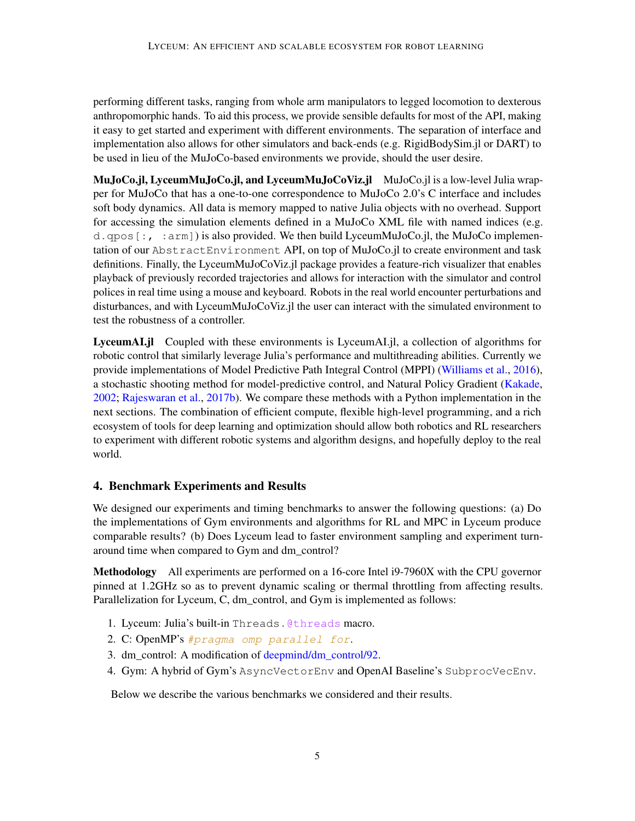performing different tasks, ranging from whole arm manipulators to legged locomotion to dexterous anthropomorphic hands. To aid this process, we provide sensible defaults for most of the API, making it easy to get started and experiment with different environments. The separation of interface and implementation also allows for other simulators and back-ends (e.g. RigidBodySim.jl or DART) to be used in lieu of the MuJoCo-based environments we provide, should the user desire.

MuJoCo.jl, LyceumMuJoCo.jl, and LyceumMuJoCoViz.jl MuJoCo.jl is a low-level Julia wrapper for MuJoCo that has a one-to-one correspondence to MuJoCo 2.0's C interface and includes soft body dynamics. All data is memory mapped to native Julia objects with no overhead. Support for accessing the simulation elements defined in a MuJoCo XML file with named indices (e.g.  $d.$  qpos  $[:, :arm]$  is also provided. We then build LyceumMuJoCo.jl, the MuJoCo implementation of our AbstractEnvironment API, on top of MuJoCo.jl to create environment and task definitions. Finally, the LyceumMuJoCoViz.jl package provides a feature-rich visualizer that enables playback of previously recorded trajectories and allows for interaction with the simulator and control polices in real time using a mouse and keyboard. Robots in the real world encounter perturbations and disturbances, and with LyceumMuJoCoViz.jl the user can interact with the simulated environment to test the robustness of a controller.

LyceumAI.jl Coupled with these environments is LyceumAI.jl, a collection of algorithms for robotic control that similarly leverage Julia's performance and multithreading abilities. Currently we provide implementations of Model Predictive Path Integral Control (MPPI) [\(Williams et al.,](#page-10-8) [2016\)](#page-10-8), a stochastic shooting method for model-predictive control, and Natural Policy Gradient [\(Kakade,](#page-9-9) [2002;](#page-9-9) [Rajeswaran et al.,](#page-10-5) [2017b\)](#page-10-5). We compare these methods with a Python implementation in the next sections. The combination of efficient compute, flexible high-level programming, and a rich ecosystem of tools for deep learning and optimization should allow both robotics and RL researchers to experiment with different robotic systems and algorithm designs, and hopefully deploy to the real world.

# 4. Benchmark Experiments and Results

We designed our experiments and timing benchmarks to answer the following questions: (a) Do the implementations of Gym environments and algorithms for RL and MPC in Lyceum produce comparable results? (b) Does Lyceum lead to faster environment sampling and experiment turnaround time when compared to Gym and dm\_control?

Methodology All experiments are performed on a 16-core Intel i9-7960X with the CPU governor pinned at 1.2GHz so as to prevent dynamic scaling or thermal throttling from affecting results. Parallelization for Lyceum, C, dm\_control, and Gym is implemented as follows:

- 1. Lyceum: Julia's built-in Threads.@threads macro.
- 2. C: OpenMP's #pragma omp parallel for.
- 3. dm\_control: A modification of [deepmind/dm\\_control/92.](https://github.com/deepmind/dm_control/issues/92)
- 4. Gym: A hybrid of Gym's AsyncVectorEnv and OpenAI Baseline's SubprocVecEnv.

Below we describe the various benchmarks we considered and their results.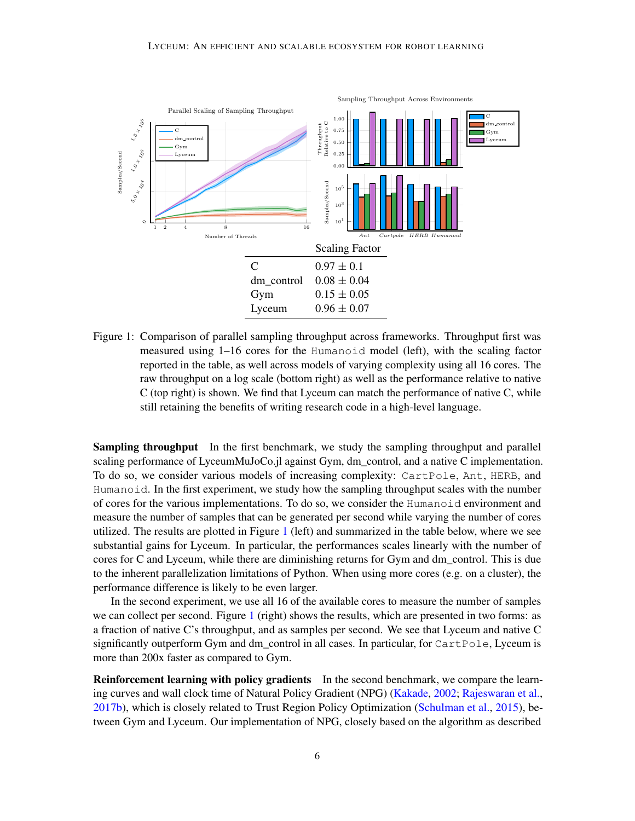

<span id="page-5-0"></span>Figure 1: Comparison of parallel sampling throughput across frameworks. Throughput first was measured using 1–16 cores for the Humanoid model (left), with the scaling factor reported in the table, as well across models of varying complexity using all 16 cores. The raw throughput on a log scale (bottom right) as well as the performance relative to native C (top right) is shown. We find that Lyceum can match the performance of native C, while still retaining the benefits of writing research code in a high-level language.

Sampling throughput In the first benchmark, we study the sampling throughput and parallel scaling performance of LyceumMuJoCo.jl against Gym, dm\_control, and a native C implementation. To do so, we consider various models of increasing complexity: CartPole, Ant, HERB, and Humanoid. In the first experiment, we study how the sampling throughput scales with the number of cores for the various implementations. To do so, we consider the Humanoid environment and measure the number of samples that can be generated per second while varying the number of cores utilized. The results are plotted in Figure [1](#page-5-0) (left) and summarized in the table below, where we see substantial gains for Lyceum. In particular, the performances scales linearly with the number of cores for C and Lyceum, while there are diminishing returns for Gym and dm\_control. This is due to the inherent parallelization limitations of Python. When using more cores (e.g. on a cluster), the performance difference is likely to be even larger.

In the second experiment, we use all 16 of the available cores to measure the number of samples we can collect per second. Figure [1](#page-5-0) (right) shows the results, which are presented in two forms: as a fraction of native C's throughput, and as samples per second. We see that Lyceum and native C significantly outperform Gym and dm\_control in all cases. In particular, for CartPole, Lyceum is more than 200x faster as compared to Gym.

Reinforcement learning with policy gradients In the second benchmark, we compare the learning curves and wall clock time of Natural Policy Gradient (NPG) [\(Kakade,](#page-9-9) [2002;](#page-9-9) [Rajeswaran et al.,](#page-10-5) [2017b\)](#page-10-5), which is closely related to Trust Region Policy Optimization [\(Schulman et al.,](#page-10-9) [2015\)](#page-10-9), between Gym and Lyceum. Our implementation of NPG, closely based on the algorithm as described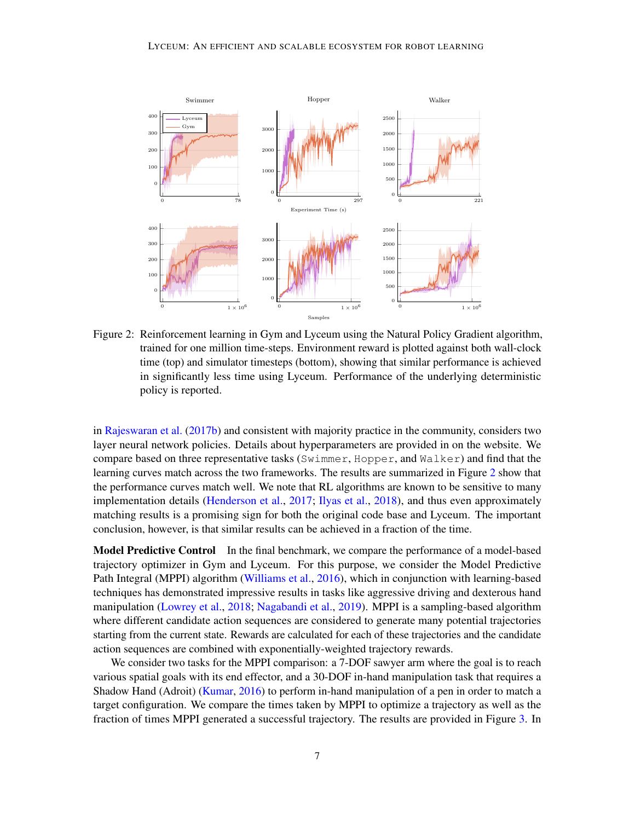

<span id="page-6-0"></span>Figure 2: Reinforcement learning in Gym and Lyceum using the Natural Policy Gradient algorithm, trained for one million time-steps. Environment reward is plotted against both wall-clock time (top) and simulator timesteps (bottom), showing that similar performance is achieved in significantly less time using Lyceum. Performance of the underlying deterministic policy is reported.

in [Rajeswaran et al.](#page-10-5) [\(2017b\)](#page-10-5) and consistent with majority practice in the community, considers two layer neural network policies. Details about hyperparameters are provided in on the website. We compare based on three representative tasks (Swimmer, Hopper, and Walker) and find that the learning curves match across the two frameworks. The results are summarized in Figure [2](#page-6-0) show that the performance curves match well. We note that RL algorithms are known to be sensitive to many implementation details [\(Henderson et al.,](#page-8-2) [2017;](#page-8-2) [Ilyas et al.,](#page-8-11) [2018\)](#page-8-11), and thus even approximately matching results is a promising sign for both the original code base and Lyceum. The important conclusion, however, is that similar results can be achieved in a fraction of the time.

**Model Predictive Control** In the final benchmark, we compare the performance of a model-based trajectory optimizer in Gym and Lyceum. For this purpose, we consider the Model Predictive Path Integral (MPPI) algorithm [\(Williams et al.,](#page-10-8) [2016\)](#page-10-8), which in conjunction with learning-based techniques has demonstrated impressive results in tasks like aggressive driving and dexterous hand manipulation [\(Lowrey et al.,](#page-9-2) [2018;](#page-9-2) [Nagabandi et al.,](#page-9-11) [2019\)](#page-9-11). MPPI is a sampling-based algorithm where different candidate action sequences are considered to generate many potential trajectories starting from the current state. Rewards are calculated for each of these trajectories and the candidate action sequences are combined with exponentially-weighted trajectory rewards.

We consider two tasks for the MPPI comparison: a 7-DOF sawyer arm where the goal is to reach various spatial goals with its end effector, and a 30-DOF in-hand manipulation task that requires a Shadow Hand (Adroit) [\(Kumar,](#page-9-12) [2016\)](#page-9-12) to perform in-hand manipulation of a pen in order to match a target configuration. We compare the times taken by MPPI to optimize a trajectory as well as the fraction of times MPPI generated a successful trajectory. The results are provided in Figure [3.](#page-7-0) In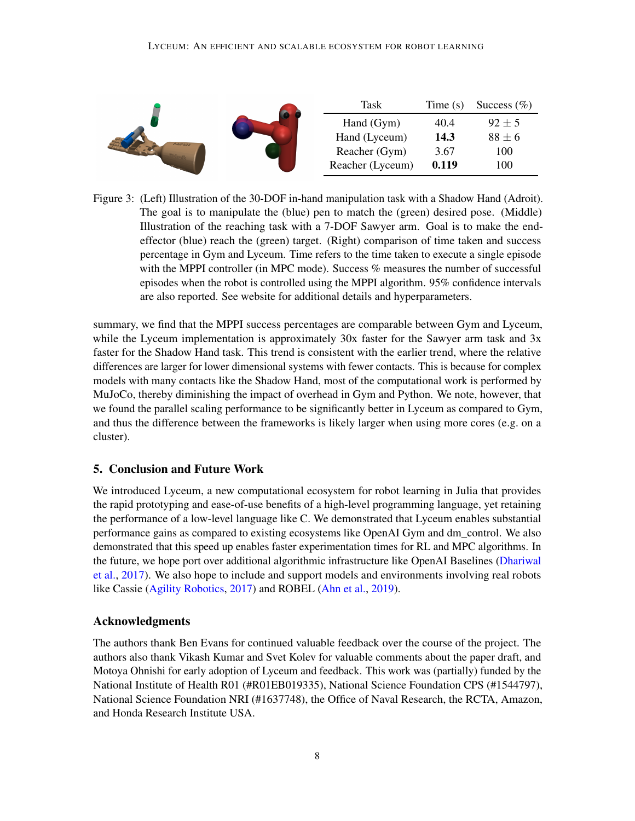

<span id="page-7-0"></span>Figure 3: (Left) Illustration of the 30-DOF in-hand manipulation task with a Shadow Hand (Adroit). The goal is to manipulate the (blue) pen to match the (green) desired pose. (Middle) Illustration of the reaching task with a 7-DOF Sawyer arm. Goal is to make the endeffector (blue) reach the (green) target. (Right) comparison of time taken and success percentage in Gym and Lyceum. Time refers to the time taken to execute a single episode with the MPPI controller (in MPC mode). Success % measures the number of successful episodes when the robot is controlled using the MPPI algorithm. 95% confidence intervals are also reported. See website for additional details and hyperparameters.

summary, we find that the MPPI success percentages are comparable between Gym and Lyceum, while the Lyceum implementation is approximately 30x faster for the Sawyer arm task and 3x faster for the Shadow Hand task. This trend is consistent with the earlier trend, where the relative differences are larger for lower dimensional systems with fewer contacts. This is because for complex models with many contacts like the Shadow Hand, most of the computational work is performed by MuJoCo, thereby diminishing the impact of overhead in Gym and Python. We note, however, that we found the parallel scaling performance to be significantly better in Lyceum as compared to Gym, and thus the difference between the frameworks is likely larger when using more cores (e.g. on a cluster).

# 5. Conclusion and Future Work

We introduced Lyceum, a new computational ecosystem for robot learning in Julia that provides the rapid prototyping and ease-of-use benefits of a high-level programming language, yet retaining the performance of a low-level language like C. We demonstrated that Lyceum enables substantial performance gains as compared to existing ecosystems like OpenAI Gym and dm\_control. We also demonstrated that this speed up enables faster experimentation times for RL and MPC algorithms. In the future, we hope port over additional algorithmic infrastructure like OpenAI Baselines [\(Dhariwal](#page-8-6) [et al.,](#page-8-6) [2017\)](#page-8-6). We also hope to include and support models and environments involving real robots like Cassie [\(Agility Robotics,](#page-8-12) [2017\)](#page-8-12) and ROBEL [\(Ahn et al.,](#page-8-9) [2019\)](#page-8-9).

### Acknowledgments

The authors thank Ben Evans for continued valuable feedback over the course of the project. The authors also thank Vikash Kumar and Svet Kolev for valuable comments about the paper draft, and Motoya Ohnishi for early adoption of Lyceum and feedback. This work was (partially) funded by the National Institute of Health R01 (#R01EB019335), National Science Foundation CPS (#1544797), National Science Foundation NRI (#1637748), the Office of Naval Research, the RCTA, Amazon, and Honda Research Institute USA.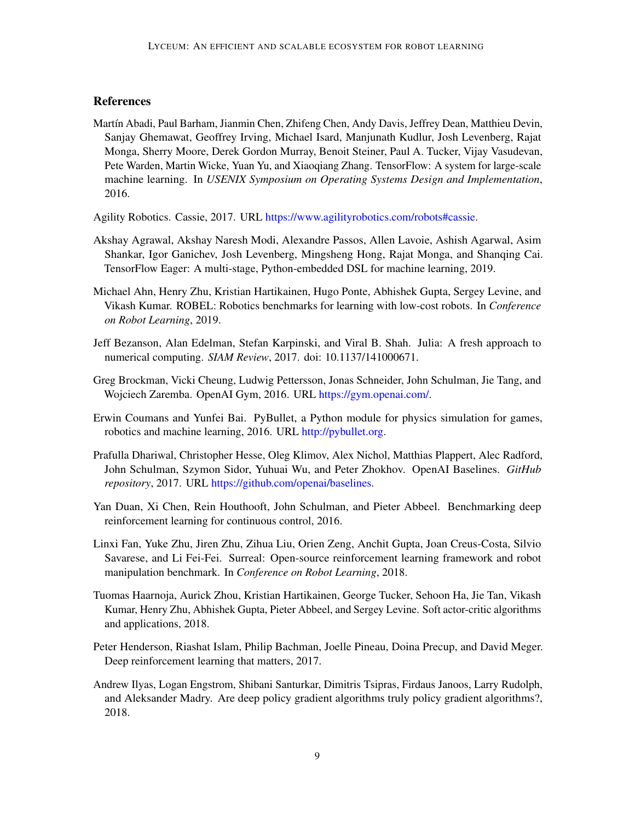# **References**

- <span id="page-8-0"></span>Martín Abadi, Paul Barham, Jianmin Chen, Zhifeng Chen, Andy Davis, Jeffrey Dean, Matthieu Devin, Sanjay Ghemawat, Geoffrey Irving, Michael Isard, Manjunath Kudlur, Josh Levenberg, Rajat Monga, Sherry Moore, Derek Gordon Murray, Benoit Steiner, Paul A. Tucker, Vijay Vasudevan, Pete Warden, Martin Wicke, Yuan Yu, and Xiaoqiang Zhang. TensorFlow: A system for large-scale machine learning. In *USENIX Symposium on Operating Systems Design and Implementation*, 2016.
- <span id="page-8-12"></span>Agility Robotics. Cassie, 2017. URL [https://www.agilityrobotics.com/robots#cassie.](https://www.agilityrobotics.com/robots#cassie)
- <span id="page-8-4"></span>Akshay Agrawal, Akshay Naresh Modi, Alexandre Passos, Allen Lavoie, Ashish Agarwal, Asim Shankar, Igor Ganichev, Josh Levenberg, Mingsheng Hong, Rajat Monga, and Shanqing Cai. TensorFlow Eager: A multi-stage, Python-embedded DSL for machine learning, 2019.
- <span id="page-8-9"></span>Michael Ahn, Henry Zhu, Kristian Hartikainen, Hugo Ponte, Abhishek Gupta, Sergey Levine, and Vikash Kumar. ROBEL: Robotics benchmarks for learning with low-cost robots. In *Conference on Robot Learning*, 2019.
- <span id="page-8-10"></span>Jeff Bezanson, Alan Edelman, Stefan Karpinski, and Viral B. Shah. Julia: A fresh approach to numerical computing. *SIAM Review*, 2017. doi: 10.1137/141000671.
- <span id="page-8-1"></span>Greg Brockman, Vicki Cheung, Ludwig Pettersson, Jonas Schneider, John Schulman, Jie Tang, and Wojciech Zaremba. OpenAI Gym, 2016. URL [https://gym.openai.com/.](https://gym.openai.com/)
- <span id="page-8-3"></span>Erwin Coumans and Yunfei Bai. PyBullet, a Python module for physics simulation for games, robotics and machine learning, 2016. URL [http://pybullet.org.](http://pybullet.org)
- <span id="page-8-6"></span>Prafulla Dhariwal, Christopher Hesse, Oleg Klimov, Alex Nichol, Matthias Plappert, Alec Radford, John Schulman, Szymon Sidor, Yuhuai Wu, and Peter Zhokhov. OpenAI Baselines. *GitHub repository*, 2017. URL [https://github.com/openai/baselines.](https://github.com/openai/baselines)
- <span id="page-8-8"></span>Yan Duan, Xi Chen, Rein Houthooft, John Schulman, and Pieter Abbeel. Benchmarking deep reinforcement learning for continuous control, 2016.
- <span id="page-8-5"></span>Linxi Fan, Yuke Zhu, Jiren Zhu, Zihua Liu, Orien Zeng, Anchit Gupta, Joan Creus-Costa, Silvio Savarese, and Li Fei-Fei. Surreal: Open-source reinforcement learning framework and robot manipulation benchmark. In *Conference on Robot Learning*, 2018.
- <span id="page-8-7"></span>Tuomas Haarnoja, Aurick Zhou, Kristian Hartikainen, George Tucker, Sehoon Ha, Jie Tan, Vikash Kumar, Henry Zhu, Abhishek Gupta, Pieter Abbeel, and Sergey Levine. Soft actor-critic algorithms and applications, 2018.
- <span id="page-8-2"></span>Peter Henderson, Riashat Islam, Philip Bachman, Joelle Pineau, Doina Precup, and David Meger. Deep reinforcement learning that matters, 2017.
- <span id="page-8-11"></span>Andrew Ilyas, Logan Engstrom, Shibani Santurkar, Dimitris Tsipras, Firdaus Janoos, Larry Rudolph, and Aleksander Madry. Are deep policy gradient algorithms truly policy gradient algorithms?, 2018.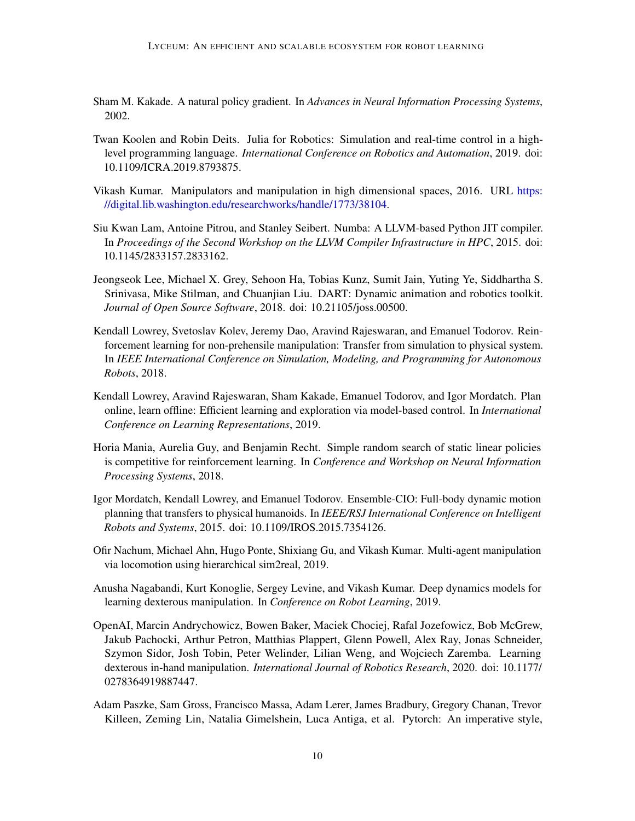- <span id="page-9-9"></span>Sham M. Kakade. A natural policy gradient. In *Advances in Neural Information Processing Systems*, 2002.
- <span id="page-9-8"></span>Twan Koolen and Robin Deits. Julia for Robotics: Simulation and real-time control in a highlevel programming language. *International Conference on Robotics and Automation*, 2019. doi: 10.1109/ICRA.2019.8793875.
- <span id="page-9-12"></span>Vikash Kumar. Manipulators and manipulation in high dimensional spaces, 2016. URL [https:](https://digital.lib.washington.edu/researchworks/handle/1773/38104) [//digital.lib.washington.edu/researchworks/handle/1773/38104.](https://digital.lib.washington.edu/researchworks/handle/1773/38104)
- <span id="page-9-7"></span>Siu Kwan Lam, Antoine Pitrou, and Stanley Seibert. Numba: A LLVM-based Python JIT compiler. In *Proceedings of the Second Workshop on the LLVM Compiler Infrastructure in HPC*, 2015. doi: 10.1145/2833157.2833162.
- <span id="page-9-6"></span>Jeongseok Lee, Michael X. Grey, Sehoon Ha, Tobias Kunz, Sumit Jain, Yuting Ye, Siddhartha S. Srinivasa, Mike Stilman, and Chuanjian Liu. DART: Dynamic animation and robotics toolkit. *Journal of Open Source Software*, 2018. doi: 10.21105/joss.00500.
- <span id="page-9-2"></span>Kendall Lowrey, Svetoslav Kolev, Jeremy Dao, Aravind Rajeswaran, and Emanuel Todorov. Reinforcement learning for non-prehensile manipulation: Transfer from simulation to physical system. In *IEEE International Conference on Simulation, Modeling, and Programming for Autonomous Robots*, 2018.
- <span id="page-9-10"></span>Kendall Lowrey, Aravind Rajeswaran, Sham Kakade, Emanuel Todorov, and Igor Mordatch. Plan online, learn offline: Efficient learning and exploration via model-based control. In *International Conference on Learning Representations*, 2019.
- <span id="page-9-4"></span>Horia Mania, Aurelia Guy, and Benjamin Recht. Simple random search of static linear policies is competitive for reinforcement learning. In *Conference and Workshop on Neural Information Processing Systems*, 2018.
- <span id="page-9-3"></span>Igor Mordatch, Kendall Lowrey, and Emanuel Todorov. Ensemble-CIO: Full-body dynamic motion planning that transfers to physical humanoids. In *IEEE/RSJ International Conference on Intelligent Robots and Systems*, 2015. doi: 10.1109/IROS.2015.7354126.
- <span id="page-9-5"></span>Ofir Nachum, Michael Ahn, Hugo Ponte, Shixiang Gu, and Vikash Kumar. Multi-agent manipulation via locomotion using hierarchical sim2real, 2019.
- <span id="page-9-11"></span>Anusha Nagabandi, Kurt Konoglie, Sergey Levine, and Vikash Kumar. Deep dynamics models for learning dexterous manipulation. In *Conference on Robot Learning*, 2019.
- <span id="page-9-1"></span>OpenAI, Marcin Andrychowicz, Bowen Baker, Maciek Chociej, Rafal Jozefowicz, Bob McGrew, Jakub Pachocki, Arthur Petron, Matthias Plappert, Glenn Powell, Alex Ray, Jonas Schneider, Szymon Sidor, Josh Tobin, Peter Welinder, Lilian Weng, and Wojciech Zaremba. Learning dexterous in-hand manipulation. *International Journal of Robotics Research*, 2020. doi: 10.1177/ 0278364919887447.
- <span id="page-9-0"></span>Adam Paszke, Sam Gross, Francisco Massa, Adam Lerer, James Bradbury, Gregory Chanan, Trevor Killeen, Zeming Lin, Natalia Gimelshein, Luca Antiga, et al. Pytorch: An imperative style,